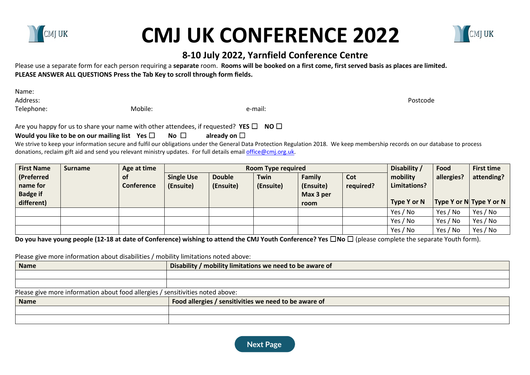

Name:

## **CMJ UK CONFERENCE 2022 8-10 July 2022, Yarnfield Conference Centre**



Please use a separate form for each person requiring a **separate** room. **Rooms will be booked on a first come, first served basis as places are limited.** PLEASE ANSWER ALL QUESTIONS Press the Tab Key to scroll through form fields.

Address: Postcode Telephone: Mobile: e-mail:

Are you happy for us to share your name with other attendees, if requested? **YES** ☐ **NO** ☐

## **Would you like to be on our mailing list** Yes □ No □ already on □

We strive to keep your information secure and fulfil our obligations under the General Data Protection Regulation 2018. We keep membership records on our database to process donations, reclaim gift aid and send you relevant ministry updates. For full details email office@cmj.org.uk.

| <b>First Name</b>                         | <b>Surname</b> | Age at time                    | <b>Room Type required</b>      |                            |                   |                                  | Disability /     | Food                     | <b>First time</b> |                         |
|-------------------------------------------|----------------|--------------------------------|--------------------------------|----------------------------|-------------------|----------------------------------|------------------|--------------------------|-------------------|-------------------------|
| (Preferred<br>name for<br><b>Badge if</b> |                | <b>of</b><br><b>Conference</b> | <b>Single Use</b><br>(Ensuite) | <b>Double</b><br>(Ensuite) | Twin<br>(Ensuite) | Family<br>(Ensuite)<br>Max 3 per | Cot<br>required? | mobility<br>Limitations? | allergies?        | attending?              |
| different)                                |                |                                |                                |                            |                   | room                             |                  | Type Y or N              |                   | Type Y or N Type Y or N |
|                                           |                |                                |                                |                            |                   |                                  |                  | Yes / No                 | Yes / No          | Yes / No                |
|                                           |                |                                |                                |                            |                   |                                  |                  | Yes / No                 | Yes / No          | Yes / No                |
|                                           |                |                                |                                |                            |                   |                                  |                  | Yes / No                 | Yes / No          | Yes / No                |

**Do you have young people (12-18 at date of Conference) wishing to attend the CMJ Youth Conference? Yes** ☐**No** ☐ (please complete the separate Youth form).

Please give more information about disabilities / mobility limitations noted above:

| <b>Name</b> | <b>Disability</b><br>.<br>/ mobility limitations we need to be aware of |  |  |
|-------------|-------------------------------------------------------------------------|--|--|
|             |                                                                         |  |  |
|             |                                                                         |  |  |

Please give more information about food allergies / sensitivities noted above:

| <b>Name</b> | <b>Food allergies</b><br>/ sensitivities we need to be aware of $\overline{\phantom{a}}$ |
|-------------|------------------------------------------------------------------------------------------|
|             |                                                                                          |
|             |                                                                                          |